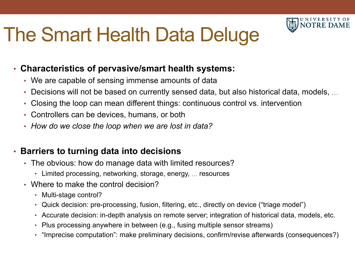## The Smart Health Data Deluge



- We are capable of sensing immense amounts of data
- Decisions will not be based on currently sensed data, but also historical data, models, …

U N I V E R S I T Y O F **IOTRE D** 

- Closing the loop can mean different things: continuous control vs. intervention
- Controllers can be devices, humans, or both
- *How do we close the loop when we are lost in data?*

## • **Barriers to turning data into decisions**

- The obvious: how do manage data with limited resources?
	- Limited processing, networking, storage, energy, … resources
- Where to make the control decision?
	- Multi-stage control?
	- Quick decision: pre-processing, fusion, filtering, etc., directly on device ("triage model")
	- Accurate decision: in-depth analysis on remote server; integration of historical data, models, etc.
	- Plus processing anywhere in between (e.g., fusing multiple sensor streams)
	- "Imprecise computation": make preliminary decisions, confirm/revise afterwards (consequences?)